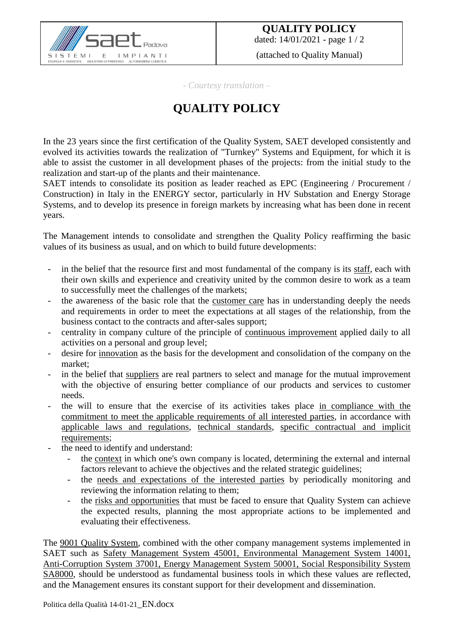

(attached to Quality Manual)

*- Courtesy translation –*

## **QUALITY POLICY**

In the 23 years since the first certification of the Quality System, SAET developed consistently and evolved its activities towards the realization of "Turnkey" Systems and Equipment, for which it is able to assist the customer in all development phases of the projects: from the initial study to the realization and start-up of the plants and their maintenance.

SAET intends to consolidate its position as leader reached as EPC (Engineering / Procurement / Construction) in Italy in the ENERGY sector, particularly in HV Substation and Energy Storage Systems, and to develop its presence in foreign markets by increasing what has been done in recent years.

The Management intends to consolidate and strengthen the Quality Policy reaffirming the basic values of its business as usual, and on which to build future developments:

- in the belief that the resource first and most fundamental of the company is its staff, each with their own skills and experience and creativity united by the common desire to work as a team to successfully meet the challenges of the markets;
- the awareness of the basic role that the customer care has in understanding deeply the needs and requirements in order to meet the expectations at all stages of the relationship, from the business contact to the contracts and after-sales support;
- centrality in company culture of the principle of continuous improvement applied daily to all activities on a personal and group level;
- desire for innovation as the basis for the development and consolidation of the company on the market;
- in the belief that suppliers are real partners to select and manage for the mutual improvement with the objective of ensuring better compliance of our products and services to customer needs.
- the will to ensure that the exercise of its activities takes place in compliance with the commitment to meet the applicable requirements of all interested parties, in accordance with applicable laws and regulations, technical standards, specific contractual and implicit requirements;
- the need to identify and understand:
	- the context in which one's own company is located, determining the external and internal factors relevant to achieve the objectives and the related strategic guidelines;
	- the needs and expectations of the interested parties by periodically monitoring and reviewing the information relating to them;
	- the risks and opportunities that must be faced to ensure that Quality System can achieve the expected results, planning the most appropriate actions to be implemented and evaluating their effectiveness.

The 9001 Quality System, combined with the other company management systems implemented in SAET such as Safety Management System 45001, Environmental Management System 14001, Anti-Corruption System 37001, Energy Management System 50001, Social Responsibility System SA8000, should be understood as fundamental business tools in which these values are reflected, and the Management ensures its constant support for their development and dissemination.